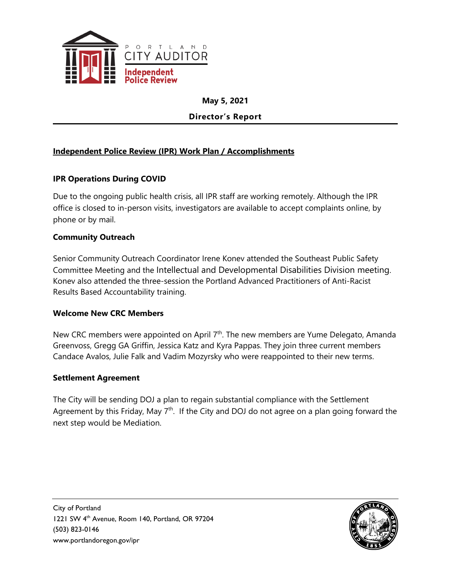

**May 5, 2021**

**Director's Report**

## **Independent Police Review (IPR) Work Plan / Accomplishments**

## **IPR Operations During COVID**

Due to the ongoing public health crisis, all IPR staff are working remotely. Although the IPR office is closed to in-person visits, investigators are available to accept complaints online, by phone or by mail.

#### **Community Outreach**

Senior Community Outreach Coordinator Irene Konev attended the Southeast Public Safety Committee Meeting and the Intellectual and Developmental Disabilities Division meeting. Konev also attended the three-session the Portland Advanced Practitioners of Anti-Racist Results Based Accountability training.

#### **Welcome New CRC Members**

New CRC members were appointed on April  $7<sup>th</sup>$ . The new members are Yume Delegato, Amanda Greenvoss, Gregg GA Griffin, Jessica Katz and Kyra Pappas. They join three current members Candace Avalos, Julie Falk and Vadim Mozyrsky who were reappointed to their new terms.

#### **Settlement Agreement**

The City will be sending DOJ a plan to regain substantial compliance with the Settlement Agreement by this Friday, May 7<sup>th</sup>. If the City and DOJ do not agree on a plan going forward the next step would be Mediation.

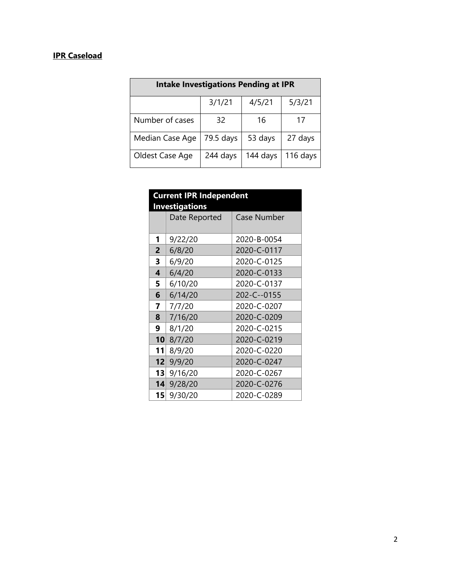## **IPR Caseload**

| <b>Intake Investigations Pending at IPR</b> |           |          |          |  |
|---------------------------------------------|-----------|----------|----------|--|
|                                             | 3/1/21    | 4/5/21   | 5/3/21   |  |
| Number of cases                             | 32        | 16       | 17       |  |
| Median Case Age                             | 79.5 days | 53 days  | 27 days  |  |
| Oldest Case Age                             | 244 days  | 144 days | 116 days |  |

| <b>Current IPR Independent</b><br><b>Investigations</b> |               |                    |  |  |  |
|---------------------------------------------------------|---------------|--------------------|--|--|--|
|                                                         | Date Reported | <b>Case Number</b> |  |  |  |
| 1                                                       | 9/22/20       | 2020-B-0054        |  |  |  |
| $\overline{2}$                                          | 6/8/20        | 2020-C-0117        |  |  |  |
| 3                                                       | 6/9/20        | 2020-C-0125        |  |  |  |
| 4                                                       | 6/4/20        | 2020-C-0133        |  |  |  |
| 5                                                       | 6/10/20       | 2020-C-0137        |  |  |  |
| 6                                                       | 6/14/20       | 202-C--0155        |  |  |  |
| 7                                                       | 7/7/20        | 2020-C-0207        |  |  |  |
| 8                                                       | 7/16/20       | 2020-C-0209        |  |  |  |
| 9                                                       | 8/1/20        | 2020-C-0215        |  |  |  |
| 10                                                      | 8/7/20        | 2020-C-0219        |  |  |  |
| 11                                                      | 8/9/20        | 2020-C-0220        |  |  |  |
| 12                                                      | 9/9/20        | 2020-C-0247        |  |  |  |
| 13                                                      | 9/16/20       | 2020-C-0267        |  |  |  |
| 14                                                      | 9/28/20       | 2020-C-0276        |  |  |  |
| 15 <sup>2</sup>                                         | 9/30/20       | 2020-C-0289        |  |  |  |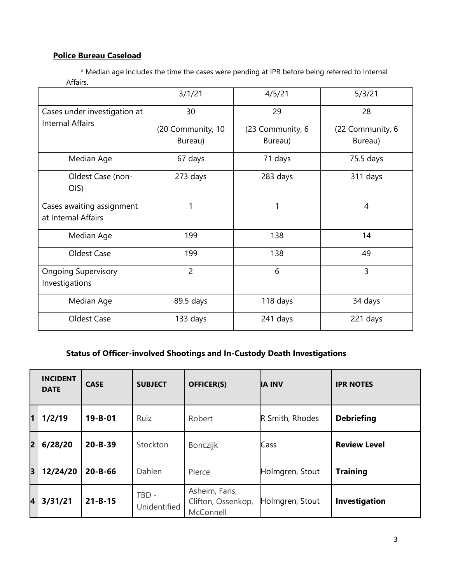## **Police Bureau Caseload**

 \* Median age includes the time the cases were pending at IPR before being referred to Internal Affairs.

|                                                  | 3/1/21                       | 4/5/21                      | 5/3/21                      |
|--------------------------------------------------|------------------------------|-----------------------------|-----------------------------|
| Cases under investigation at                     | 30                           | 29                          | 28                          |
| <b>Internal Affairs</b>                          | (20 Community, 10<br>Bureau) | (23 Community, 6<br>Bureau) | (22 Community, 6<br>Bureau) |
| Median Age                                       | 67 days                      | 71 days                     | 75.5 days                   |
| Oldest Case (non-<br>OIS)                        | 273 days                     | 283 days                    | 311 days                    |
| Cases awaiting assignment<br>at Internal Affairs | 1                            | 1                           | 4                           |
| Median Age                                       | 199                          | 138                         | 14                          |
| Oldest Case                                      | 199                          | 138                         | 49                          |
| <b>Ongoing Supervisory</b><br>Investigations     | $\overline{2}$               | 6                           | 3                           |
| Median Age                                       | 89.5 days                    | 118 days                    | 34 days                     |
| Oldest Case                                      | 133 days                     | 241 days                    | 221 days                    |

## **Status of Officer-involved Shootings and In-Custody Death Investigations**

|   | <b>INCIDENT</b><br><b>DATE</b> | <b>CASE</b>   | <b>SUBJECT</b>               | <b>OFFICER(S)</b>                                 | <b>IA INV</b>   | <b>IPR NOTES</b>    |
|---|--------------------------------|---------------|------------------------------|---------------------------------------------------|-----------------|---------------------|
| 1 | 1/2/19                         | $19 - B - 01$ | Ruiz                         | Robert                                            | R Smith, Rhodes | <b>Debriefing</b>   |
| 2 | 6/28/20                        | $20 - B - 39$ | Stockton                     | Bonczijk                                          | Cass            | <b>Review Level</b> |
| 3 | 12/24/20                       | $20 - B - 66$ | Dahlen                       | Pierce                                            | Holmgren, Stout | <b>Training</b>     |
| 4 | 3/31/21                        | $21 - B - 15$ | TBD -<br><b>Unidentified</b> | Asheim, Faris,<br>Clifton, Ossenkop,<br>McConnell | Holmgren, Stout | Investigation       |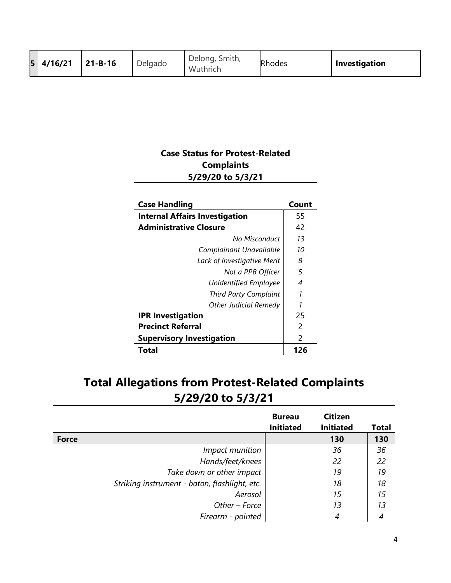|  | 5 4/16/21 | $ 21 - B - 16 $ | Delgado | Delong, Smith,<br>Wuthrich | <b>Rhodes</b> | <b>Investigation</b> |
|--|-----------|-----------------|---------|----------------------------|---------------|----------------------|
|--|-----------|-----------------|---------|----------------------------|---------------|----------------------|

## **Case Status for Protest-Related Complaints 5/29/20 to 5/3/21**

| <b>Case Handling</b>                  | Count |
|---------------------------------------|-------|
| <b>Internal Affairs Investigation</b> | 55    |
| <b>Administrative Closure</b>         | 42    |
| No Misconduct                         | 13    |
| Complainant Unavailable               | 10    |
| Lack of Investigative Merit           | 8     |
| Not a PPB Officer                     | 5     |
| Unidentified Employee                 | 4     |
| <b>Third Party Complaint</b>          | 1     |
| <b>Other Judicial Remedy</b>          | 1     |
| <b>IPR Investigation</b>              | 25    |
| <b>Precinct Referral</b>              | 2     |
| <b>Supervisory Investigation</b>      | 2     |
| Total                                 | 126   |

# **Total Allegations from Protest-Related Complaints 5/29/20 to 5/3/21**

|                                               | <b>Bureau</b><br><b>Initiated</b> | <b>Citizen</b><br><b>Initiated</b> | <b>Total</b> |
|-----------------------------------------------|-----------------------------------|------------------------------------|--------------|
| <b>Force</b>                                  |                                   | 130                                | 130          |
| Impact munition                               |                                   | 36                                 | 36           |
| Hands/feet/knees                              |                                   | 22                                 | 22           |
| Take down or other impact                     |                                   | 19                                 | 19           |
| Striking instrument - baton, flashlight, etc. |                                   | 18                                 | 18           |
| Aerosol                                       |                                   | 15                                 | 15           |
| Other - Force                                 |                                   | 13                                 | 13           |
| Firearm - pointed                             |                                   | 4                                  | 4            |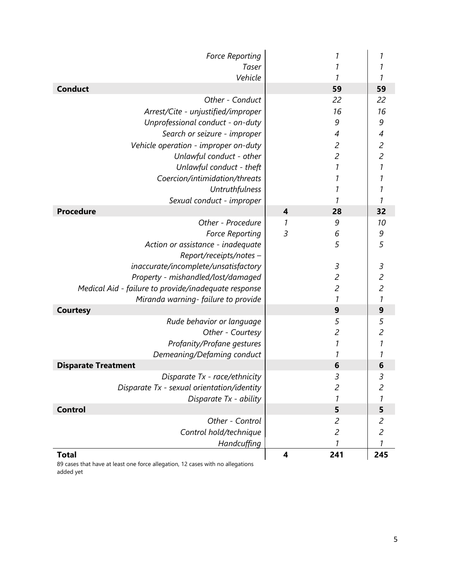| <b>Force Reporting</b>                               |                | 1                           | 1              |
|------------------------------------------------------|----------------|-----------------------------|----------------|
| Taser                                                |                | 1                           | 1              |
| Vehicle                                              |                | 1                           | 1              |
| <b>Conduct</b>                                       |                | 59                          | 59             |
| Other - Conduct                                      |                | 22                          | 22             |
| Arrest/Cite - unjustified/improper                   |                | 16                          | 16             |
| Unprofessional conduct - on-duty                     |                | 9                           | 9              |
| Search or seizure - improper                         |                | $\overline{\mathcal{A}}$    | 4              |
| Vehicle operation - improper on-duty                 |                | $\mathfrak{c}$              | $\overline{c}$ |
| Unlawful conduct - other                             |                | $\overline{c}$              | $\overline{c}$ |
| Unlawful conduct - theft                             |                | $\mathcal{I}$               | 1              |
| Coercion/intimidation/threats                        |                | 1                           | 1              |
| Untruthfulness                                       |                | 1                           | 1              |
| Sexual conduct - improper                            |                |                             | 1              |
| <b>Procedure</b>                                     | $\overline{4}$ | 28                          | 32             |
| Other - Procedure                                    | 7              | 9                           | 10             |
| <b>Force Reporting</b>                               | $\mathfrak{Z}$ | 6                           | 9              |
| Action or assistance - inadequate                    |                | 5                           | 5              |
| Report/receipts/notes -                              |                |                             |                |
| inaccurate/incomplete/unsatisfactory                 |                | $\ensuremath{\mathfrak{Z}}$ | 3              |
| Property - mishandled/lost/damaged                   |                | $\overline{c}$              | $\overline{c}$ |
| Medical Aid - failure to provide/inadequate response |                | $\overline{c}$              | $\overline{c}$ |
| Miranda warning-failure to provide                   |                | $\boldsymbol{\eta}$         | 1              |
| <b>Courtesy</b>                                      |                | 9                           | 9              |
| Rude behavior or language                            |                | 5                           | 5              |
| Other - Courtesy                                     |                | $\overline{c}$              | $\overline{c}$ |
| Profanity/Profane gestures                           |                | $\mathcal{I}$               | 1              |
| Demeaning/Defaming conduct                           |                | 1                           | 1              |
| <b>Disparate Treatment</b>                           |                | 6                           | 6              |
| Disparate Tx - race/ethnicity                        |                | 3                           | 3              |
| Disparate Tx - sexual orientation/identity           |                | $\overline{c}$              | 2              |
| Disparate Tx - ability                               |                | 1                           | 1              |
| <b>Control</b>                                       |                | 5                           | 5              |
| Other - Control                                      |                | $\mathfrak{p}$              | 2              |
| Control hold/technique                               |                | $\overline{c}$              | $\overline{c}$ |
| Handcuffing                                          |                | 1                           | 1              |
| <b>Total</b>                                         | 4              | 241                         | 245            |

89 cases that have at least one force allegation, 12 cases with no allegations added yet